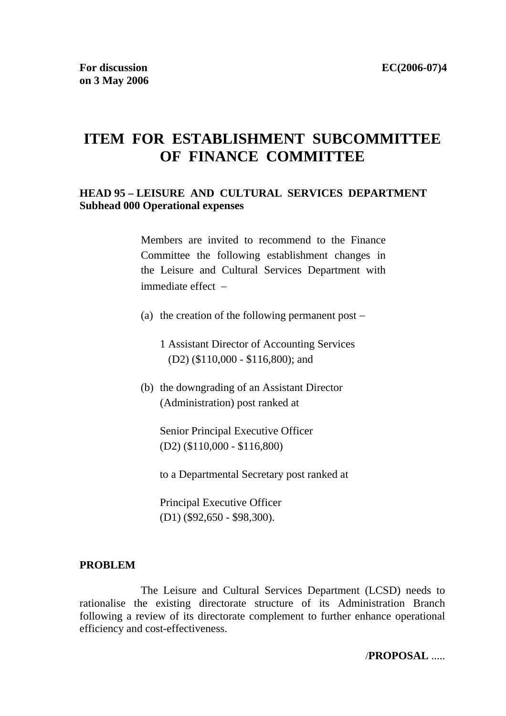# **ITEM FOR ESTABLISHMENT SUBCOMMITTEE OF FINANCE COMMITTEE**

### **HEAD 95 – LEISURE AND CULTURAL SERVICES DEPARTMENT Subhead 000 Operational expenses**

Members are invited to recommend to the Finance Committee the following establishment changes in the Leisure and Cultural Services Department with immediate effect −

(a) the creation of the following permanent post −

1 Assistant Director of Accounting Services (D2) (\$110,000 - \$116,800); and

(b) the downgrading of an Assistant Director (Administration) post ranked at

Senior Principal Executive Officer (D2) (\$110,000 - \$116,800)

to a Departmental Secretary post ranked at

Principal Executive Officer (D1) (\$92,650 - \$98,300).

#### **PROBLEM**

 The Leisure and Cultural Services Department (LCSD) needs to rationalise the existing directorate structure of its Administration Branch following a review of its directorate complement to further enhance operational efficiency and cost-effectiveness.

/**PROPOSAL** .....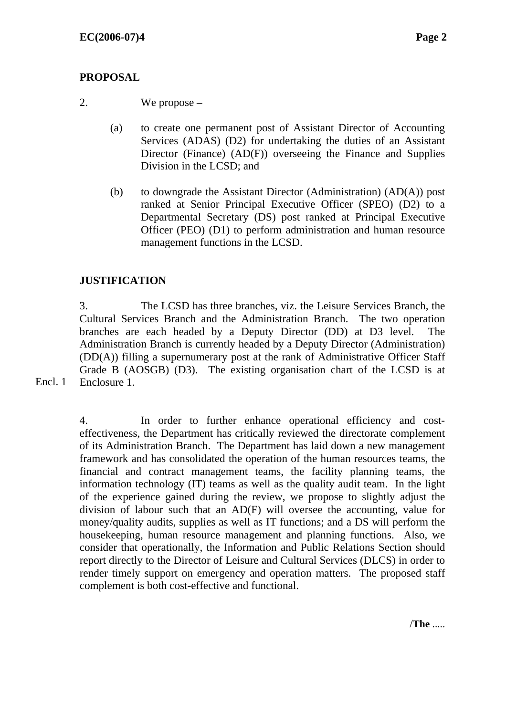# **PROPOSAL**

```
2. We propose –
```
- (a) to create one permanent post of Assistant Director of Accounting Services (ADAS) (D2) for undertaking the duties of an Assistant Director (Finance) (AD(F)) overseeing the Finance and Supplies Division in the LCSD; and
- (b) to downgrade the Assistant Director (Administration) (AD(A)) post ranked at Senior Principal Executive Officer (SPEO) (D2) to a Departmental Secretary (DS) post ranked at Principal Executive Officer (PEO) (D1) to perform administration and human resource management functions in the LCSD.

# **JUSTIFICATION**

3. The LCSD has three branches, viz. the Leisure Services Branch, the Cultural Services Branch and the Administration Branch. The two operation branches are each headed by a Deputy Director (DD) at D3 level. The Administration Branch is currently headed by a Deputy Director (Administration) (DD(A)) filling a supernumerary post at the rank of Administrative Officer Staff Grade B (AOSGB) (D3). The existing organisation chart of the LCSD is at Enclosure 1.

4. In order to further enhance operational efficiency and costeffectiveness, the Department has critically reviewed the directorate complement of its Administration Branch. The Department has laid down a new management framework and has consolidated the operation of the human resources teams, the financial and contract management teams, the facility planning teams, the information technology (IT) teams as well as the quality audit team. In the light of the experience gained during the review, we propose to slightly adjust the division of labour such that an AD(F) will oversee the accounting, value for money/quality audits, supplies as well as IT functions; and a DS will perform the housekeeping, human resource management and planning functions. Also, we consider that operationally, the Information and Public Relations Section should report directly to the Director of Leisure and Cultural Services (DLCS) in order to render timely support on emergency and operation matters. The proposed staff complement is both cost-effective and functional.

Encl. 1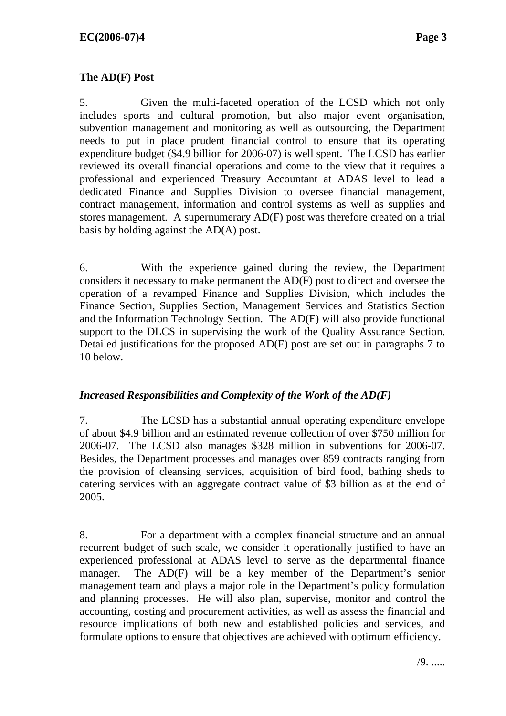## **The AD(F) Post**

5. Given the multi-faceted operation of the LCSD which not only includes sports and cultural promotion, but also major event organisation, subvention management and monitoring as well as outsourcing, the Department needs to put in place prudent financial control to ensure that its operating expenditure budget (\$4.9 billion for 2006-07) is well spent. The LCSD has earlier reviewed its overall financial operations and come to the view that it requires a professional and experienced Treasury Accountant at ADAS level to lead a dedicated Finance and Supplies Division to oversee financial management, contract management, information and control systems as well as supplies and stores management. A supernumerary AD(F) post was therefore created on a trial basis by holding against the AD(A) post.

6. With the experience gained during the review, the Department considers it necessary to make permanent the AD(F) post to direct and oversee the operation of a revamped Finance and Supplies Division, which includes the Finance Section, Supplies Section, Management Services and Statistics Section and the Information Technology Section. The AD(F) will also provide functional support to the DLCS in supervising the work of the Quality Assurance Section. Detailed justifications for the proposed AD(F) post are set out in paragraphs 7 to 10 below.

### *Increased Responsibilities and Complexity of the Work of the AD(F)*

7. The LCSD has a substantial annual operating expenditure envelope of about \$4.9 billion and an estimated revenue collection of over \$750 million for 2006-07. The LCSD also manages \$328 million in subventions for 2006-07. Besides, the Department processes and manages over 859 contracts ranging from the provision of cleansing services, acquisition of bird food, bathing sheds to catering services with an aggregate contract value of \$3 billion as at the end of 2005.

8. For a department with a complex financial structure and an annual recurrent budget of such scale, we consider it operationally justified to have an experienced professional at ADAS level to serve as the departmental finance manager. The AD(F) will be a key member of the Department's senior management team and plays a major role in the Department's policy formulation and planning processes. He will also plan, supervise, monitor and control the accounting, costing and procurement activities, as well as assess the financial and resource implications of both new and established policies and services, and formulate options to ensure that objectives are achieved with optimum efficiency.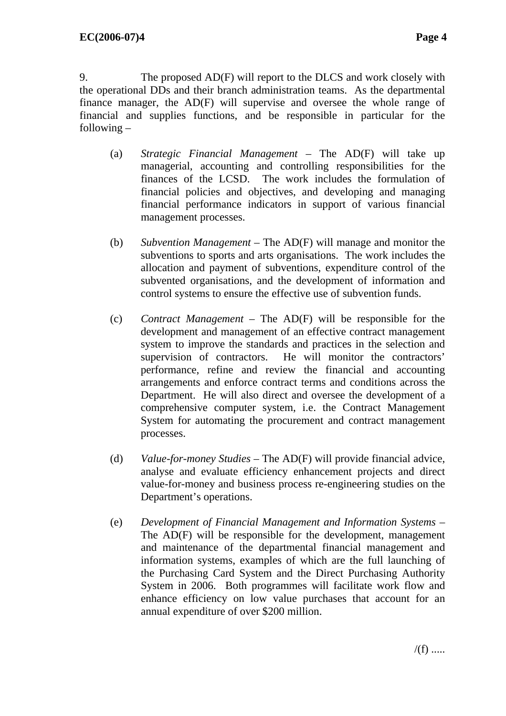9. The proposed AD(F) will report to the DLCS and work closely with the operational DDs and their branch administration teams. As the departmental finance manager, the AD(F) will supervise and oversee the whole range of financial and supplies functions, and be responsible in particular for the following –

- (a) *Strategic Financial Management –* The AD(F) will take up managerial, accounting and controlling responsibilities for the finances of the LCSD. The work includes the formulation of financial policies and objectives, and developing and managing financial performance indicators in support of various financial management processes.
- (b) *Subvention Management –* The AD(F) will manage and monitor the subventions to sports and arts organisations. The work includes the allocation and payment of subventions, expenditure control of the subvented organisations, and the development of information and control systems to ensure the effective use of subvention funds.
- (c) *Contract Management* The AD(F) will be responsible for the development and management of an effective contract management system to improve the standards and practices in the selection and supervision of contractors. He will monitor the contractors' performance, refine and review the financial and accounting arrangements and enforce contract terms and conditions across the Department. He will also direct and oversee the development of a comprehensive computer system, i.e. the Contract Management System for automating the procurement and contract management processes.
- (d) *Value-for-money Studies* The AD(F) will provide financial advice, analyse and evaluate efficiency enhancement projects and direct value-for-money and business process re-engineering studies on the Department's operations.
- (e) *Development of Financial Management and Information Systems*  The AD(F) will be responsible for the development, management and maintenance of the departmental financial management and information systems, examples of which are the full launching of the Purchasing Card System and the Direct Purchasing Authority System in 2006. Both programmes will facilitate work flow and enhance efficiency on low value purchases that account for an annual expenditure of over \$200 million.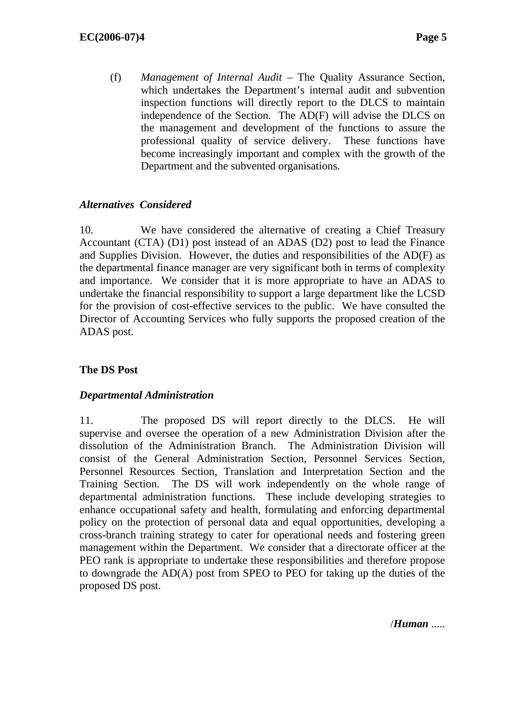(f) *Management of Internal Audit –* The Quality Assurance Section, which undertakes the Department's internal audit and subvention inspection functions will directly report to the DLCS to maintain independence of the Section. The AD(F) will advise the DLCS on the management and development of the functions to assure the professional quality of service delivery. These functions have become increasingly important and complex with the growth of the Department and the subvented organisations.

## *Alternatives Considered*

10. We have considered the alternative of creating a Chief Treasury Accountant (CTA) (D1) post instead of an ADAS (D2) post to lead the Finance and Supplies Division. However, the duties and responsibilities of the AD(F) as the departmental finance manager are very significant both in terms of complexity and importance. We consider that it is more appropriate to have an ADAS to undertake the financial responsibility to support a large department like the LCSD for the provision of cost-effective services to the public. We have consulted the Director of Accounting Services who fully supports the proposed creation of the ADAS post.

## **The DS Post**

### *Departmental Administration*

11. The proposed DS will report directly to the DLCS. He will supervise and oversee the operation of a new Administration Division after the dissolution of the Administration Branch. The Administration Division will consist of the General Administration Section, Personnel Services Section, Personnel Resources Section, Translation and Interpretation Section and the Training Section. The DS will work independently on the whole range of departmental administration functions. These include developing strategies to enhance occupational safety and health, formulating and enforcing departmental policy on the protection of personal data and equal opportunities, developing a cross-branch training strategy to cater for operational needs and fostering green management within the Department. We consider that a directorate officer at the PEO rank is appropriate to undertake these responsibilities and therefore propose to downgrade the AD(A) post from SPEO to PEO for taking up the duties of the proposed DS post.

/*Human* .....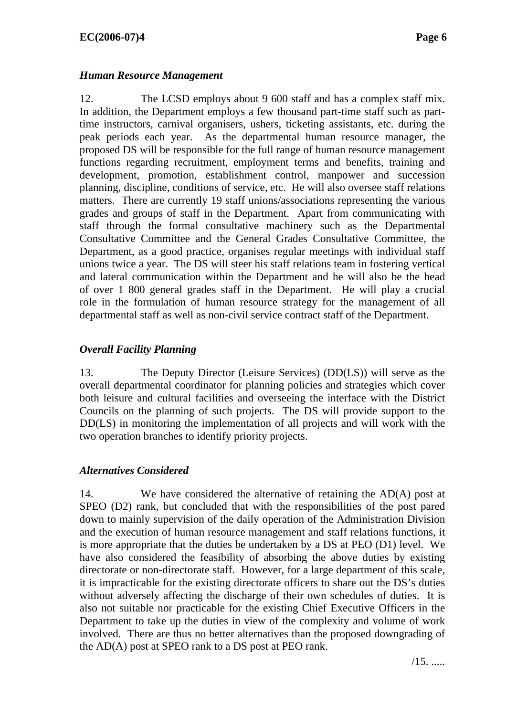## *Human Resource Management*

12. The LCSD employs about 9 600 staff and has a complex staff mix. In addition, the Department employs a few thousand part-time staff such as parttime instructors, carnival organisers, ushers, ticketing assistants, etc. during the peak periods each year. As the departmental human resource manager, the proposed DS will be responsible for the full range of human resource management functions regarding recruitment, employment terms and benefits, training and development, promotion, establishment control, manpower and succession planning, discipline, conditions of service, etc. He will also oversee staff relations matters. There are currently 19 staff unions/associations representing the various grades and groups of staff in the Department. Apart from communicating with staff through the formal consultative machinery such as the Departmental Consultative Committee and the General Grades Consultative Committee, the Department, as a good practice, organises regular meetings with individual staff unions twice a year. The DS will steer his staff relations team in fostering vertical and lateral communication within the Department and he will also be the head of over 1 800 general grades staff in the Department. He will play a crucial role in the formulation of human resource strategy for the management of all departmental staff as well as non-civil service contract staff of the Department.

## *Overall Facility Planning*

13. The Deputy Director (Leisure Services) (DD(LS)) will serve as the overall departmental coordinator for planning policies and strategies which cover both leisure and cultural facilities and overseeing the interface with the District Councils on the planning of such projects. The DS will provide support to the DD(LS) in monitoring the implementation of all projects and will work with the two operation branches to identify priority projects.

### *Alternatives Considered*

14. We have considered the alternative of retaining the AD(A) post at SPEO (D2) rank, but concluded that with the responsibilities of the post pared down to mainly supervision of the daily operation of the Administration Division and the execution of human resource management and staff relations functions, it is more appropriate that the duties be undertaken by a DS at PEO (D1) level. We have also considered the feasibility of absorbing the above duties by existing directorate or non-directorate staff. However, for a large department of this scale, it is impracticable for the existing directorate officers to share out the DS's duties without adversely affecting the discharge of their own schedules of duties. It is also not suitable nor practicable for the existing Chief Executive Officers in the Department to take up the duties in view of the complexity and volume of work involved. There are thus no better alternatives than the proposed downgrading of the AD(A) post at SPEO rank to a DS post at PEO rank.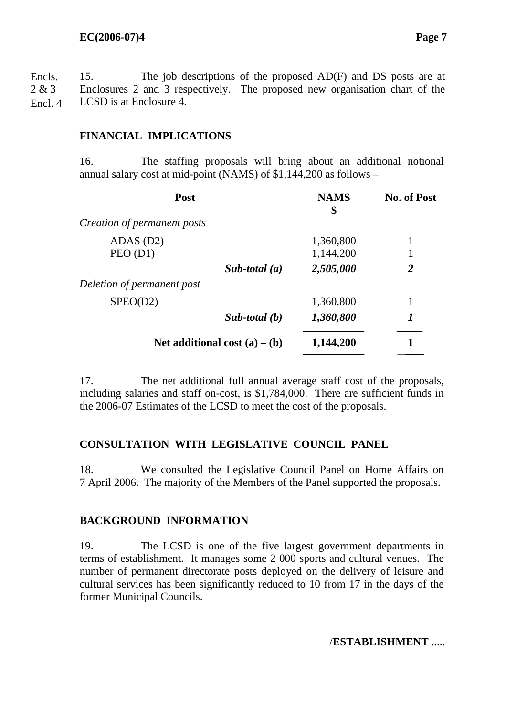15. The job descriptions of the proposed AD(F) and DS posts are at Enclosures 2 and 3 respectively. The proposed new organisation chart of the LCSD is at Enclosure 4. Encls. 2 & 3 Encl. 4

## **FINANCIAL IMPLICATIONS**

16. The staffing proposals will bring about an additional notional annual salary cost at mid-point (NAMS) of \$1,144,200 as follows –

| Post                            | <b>NAMS</b><br>\$ | <b>No. of Post</b> |   |  |
|---------------------------------|-------------------|--------------------|---|--|
| Creation of permanent posts     |                   |                    |   |  |
| $ADAS$ (D2)                     |                   | 1,360,800          |   |  |
| PEO(D1)                         |                   | 1,144,200          |   |  |
|                                 | Sub-total $(a)$   | 2,505,000          | 2 |  |
| Deletion of permanent post      |                   |                    |   |  |
| SPEO(D2)                        |                   | 1,360,800          |   |  |
|                                 | Sub-total $(b)$   | 1,360,800          | 1 |  |
| Net additional cost $(a) - (b)$ |                   | 1,144,200          |   |  |
|                                 |                   |                    |   |  |

17. The net additional full annual average staff cost of the proposals, including salaries and staff on-cost, is \$1,784,000. There are sufficient funds in the 2006-07 Estimates of the LCSD to meet the cost of the proposals.

### **CONSULTATION WITH LEGISLATIVE COUNCIL PANEL**

18. We consulted the Legislative Council Panel on Home Affairs on 7 April 2006. The majority of the Members of the Panel supported the proposals.

### **BACKGROUND INFORMATION**

19. The LCSD is one of the five largest government departments in terms of establishment. It manages some 2 000 sports and cultural venues. The number of permanent directorate posts deployed on the delivery of leisure and cultural services has been significantly reduced to 10 from 17 in the days of the former Municipal Councils.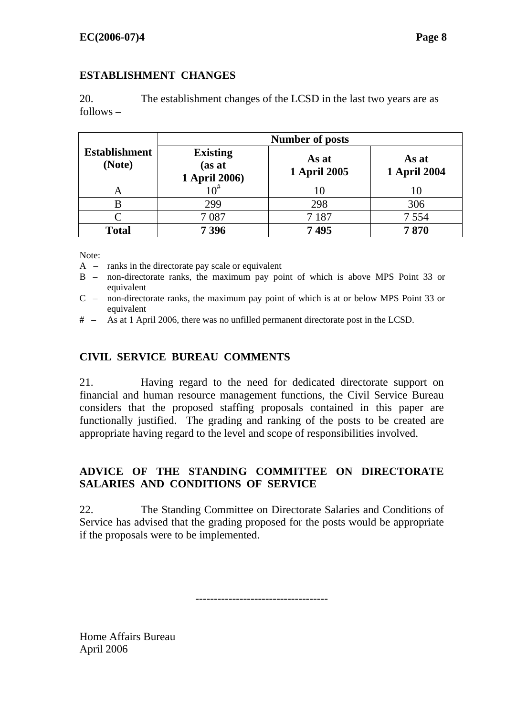## **ESTABLISHMENT CHANGES**

20. The establishment changes of the LCSD in the last two years are as follows –

|                                | <b>Number of posts</b>                     |                              |                              |  |  |  |
|--------------------------------|--------------------------------------------|------------------------------|------------------------------|--|--|--|
| <b>Establishment</b><br>(Note) | <b>Existing</b><br>(as at<br>1 April 2006) | As at<br><b>1 April 2005</b> | As at<br><b>1 April 2004</b> |  |  |  |
|                                | $\Omega^{\#}$                              |                              | 10                           |  |  |  |
| В                              | 299                                        | 298                          | 306                          |  |  |  |
|                                | 7087                                       | 7 1 8 7                      | 7 5 5 4                      |  |  |  |
| <b>Total</b>                   | 7396                                       | 7495                         | 7870                         |  |  |  |

Note:

A – ranks in the directorate pay scale or equivalent

- B non-directorate ranks, the maximum pay point of which is above MPS Point 33 or equivalent
- C non-directorate ranks, the maximum pay point of which is at or below MPS Point 33 or equivalent
- # As at 1 April 2006, there was no unfilled permanent directorate post in the LCSD.

## **CIVIL SERVICE BUREAU COMMENTS**

21. Having regard to the need for dedicated directorate support on financial and human resource management functions, the Civil Service Bureau considers that the proposed staffing proposals contained in this paper are functionally justified. The grading and ranking of the posts to be created are appropriate having regard to the level and scope of responsibilities involved.

## **ADVICE OF THE STANDING COMMITTEE ON DIRECTORATE SALARIES AND CONDITIONS OF SERVICE**

22. The Standing Committee on Directorate Salaries and Conditions of Service has advised that the grading proposed for the posts would be appropriate if the proposals were to be implemented.

------------------------------------

Home Affairs Bureau April 2006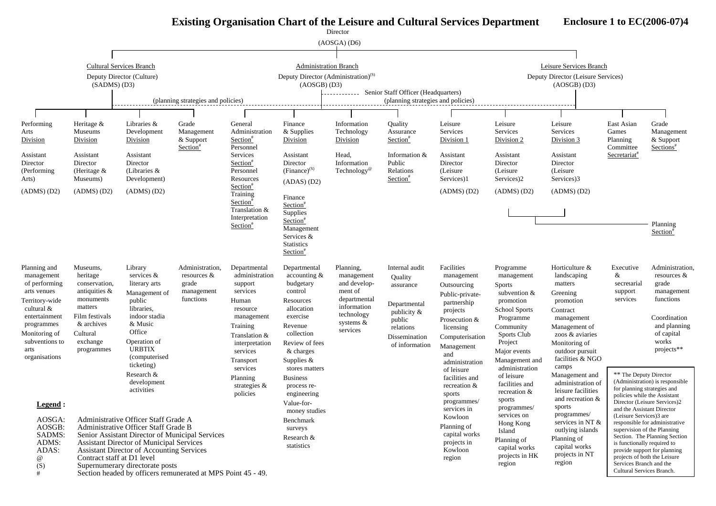# **Existing Organisation Chart of the Leisure and Cultural Services Department**

**Enclosure 1 to EC(2006-07)4** 

|                                                                                                                                                                                         |                                                                                                                                                         |                                                                                                                                                                                                                                                                                                                                           |                                                                       |                                                                                                                                                                                                                         |                                                                                                                                                                                                                                                    | Director                                                                                                                 |                                                                                                                                    |                                                                                                                                                                                                                                         |                                                                                                                                                                                                                                                         |                                                                                                                                                                                                                                                               |                                                                                                                |                                                                                                                                                                                                               |             |                 |  |  |
|-----------------------------------------------------------------------------------------------------------------------------------------------------------------------------------------|---------------------------------------------------------------------------------------------------------------------------------------------------------|-------------------------------------------------------------------------------------------------------------------------------------------------------------------------------------------------------------------------------------------------------------------------------------------------------------------------------------------|-----------------------------------------------------------------------|-------------------------------------------------------------------------------------------------------------------------------------------------------------------------------------------------------------------------|----------------------------------------------------------------------------------------------------------------------------------------------------------------------------------------------------------------------------------------------------|--------------------------------------------------------------------------------------------------------------------------|------------------------------------------------------------------------------------------------------------------------------------|-----------------------------------------------------------------------------------------------------------------------------------------------------------------------------------------------------------------------------------------|---------------------------------------------------------------------------------------------------------------------------------------------------------------------------------------------------------------------------------------------------------|---------------------------------------------------------------------------------------------------------------------------------------------------------------------------------------------------------------------------------------------------------------|----------------------------------------------------------------------------------------------------------------|---------------------------------------------------------------------------------------------------------------------------------------------------------------------------------------------------------------|-------------|-----------------|--|--|
|                                                                                                                                                                                         |                                                                                                                                                         |                                                                                                                                                                                                                                                                                                                                           |                                                                       |                                                                                                                                                                                                                         |                                                                                                                                                                                                                                                    | (AOSGA) (D6)                                                                                                             |                                                                                                                                    |                                                                                                                                                                                                                                         |                                                                                                                                                                                                                                                         |                                                                                                                                                                                                                                                               |                                                                                                                |                                                                                                                                                                                                               |             |                 |  |  |
|                                                                                                                                                                                         |                                                                                                                                                         |                                                                                                                                                                                                                                                                                                                                           |                                                                       |                                                                                                                                                                                                                         |                                                                                                                                                                                                                                                    |                                                                                                                          |                                                                                                                                    |                                                                                                                                                                                                                                         |                                                                                                                                                                                                                                                         |                                                                                                                                                                                                                                                               |                                                                                                                |                                                                                                                                                                                                               |             |                 |  |  |
|                                                                                                                                                                                         |                                                                                                                                                         | Cultural Services Branch                                                                                                                                                                                                                                                                                                                  |                                                                       |                                                                                                                                                                                                                         | <b>Administration Branch</b>                                                                                                                                                                                                                       |                                                                                                                          |                                                                                                                                    |                                                                                                                                                                                                                                         |                                                                                                                                                                                                                                                         | Leisure Services Branch                                                                                                                                                                                                                                       |                                                                                                                |                                                                                                                                                                                                               |             |                 |  |  |
|                                                                                                                                                                                         | (SADMS) (D3)                                                                                                                                            | Deputy Director (Culture)                                                                                                                                                                                                                                                                                                                 |                                                                       |                                                                                                                                                                                                                         | Deputy Director (Administration) <sup>(S)</sup><br>(AOSGB) (D3)                                                                                                                                                                                    |                                                                                                                          |                                                                                                                                    |                                                                                                                                                                                                                                         |                                                                                                                                                                                                                                                         | Deputy Director (Leisure Services)<br>(AOSGB) (D3)                                                                                                                                                                                                            |                                                                                                                |                                                                                                                                                                                                               |             |                 |  |  |
|                                                                                                                                                                                         |                                                                                                                                                         |                                                                                                                                                                                                                                                                                                                                           | (planning strategies and policies)                                    |                                                                                                                                                                                                                         |                                                                                                                                                                                                                                                    |                                                                                                                          | ----------- Senior Staff Officer (Headquarters)<br>(planning strategies and policies)                                              |                                                                                                                                                                                                                                         |                                                                                                                                                                                                                                                         |                                                                                                                                                                                                                                                               |                                                                                                                |                                                                                                                                                                                                               |             |                 |  |  |
|                                                                                                                                                                                         |                                                                                                                                                         |                                                                                                                                                                                                                                                                                                                                           |                                                                       |                                                                                                                                                                                                                         |                                                                                                                                                                                                                                                    |                                                                                                                          |                                                                                                                                    |                                                                                                                                                                                                                                         |                                                                                                                                                                                                                                                         |                                                                                                                                                                                                                                                               |                                                                                                                |                                                                                                                                                                                                               |             |                 |  |  |
| Performing<br>Arts<br>Division                                                                                                                                                          | Heritage &<br>Museums<br>Division                                                                                                                       | Libraries &<br>Development<br>Division                                                                                                                                                                                                                                                                                                    | Grade<br>Management<br>& Support<br>Section <sup>#</sup>              | General<br>Administration<br>Section"<br>Personnel                                                                                                                                                                      | Finance<br>& Supplies<br>Division                                                                                                                                                                                                                  | Information<br>Technology<br>Division                                                                                    | Quality<br>Assurance<br>Section <sup>#</sup>                                                                                       | Leisure<br>Services<br>Division 1                                                                                                                                                                                                       | Leisure<br>Services<br>Division 2                                                                                                                                                                                                                       | Leisure<br>Services<br>Division 3                                                                                                                                                                                                                             | East Asian<br>Games<br>Planning<br>Committee                                                                   | Grade<br>Management<br>& Support<br>Sections <sup>#</sup>                                                                                                                                                     |             |                 |  |  |
| Assistant<br>Director<br>(Performing)<br>Arts)                                                                                                                                          | Assistant<br>Director<br>(Heritage &<br>Museums)                                                                                                        | Assistant<br>Director<br>(Libraries $\&$<br>Development)                                                                                                                                                                                                                                                                                  |                                                                       | Services<br>Section <sup>#</sup><br>Personnel<br>Resources                                                                                                                                                              | Assistant<br>Director<br>$(Finance)^{(S)}$<br>(ADAS) (D2)                                                                                                                                                                                          | Head,<br>Information<br>Technology <sup>®</sup>                                                                          | Information &<br>Public<br>Relations<br>Section <sup>#</sup>                                                                       | Assistant<br>Director<br>(Leisure)<br>Services)1                                                                                                                                                                                        | Assistant<br>Director<br>(Leisure)<br>Services)2                                                                                                                                                                                                        | Assistant<br>Director<br>(Leisure<br>Services)3                                                                                                                                                                                                               | Secretariat <sup>#</sup>                                                                                       |                                                                                                                                                                                                               |             |                 |  |  |
| (ADMS) (D2)                                                                                                                                                                             | (ADMS) (D2)                                                                                                                                             | (ADMS) (D2)                                                                                                                                                                                                                                                                                                                               |                                                                       | Section <sup>*</sup><br>Training<br>Section <sup>#</sup><br>Translation &                                                                                                                                               |                                                                                                                                                                                                                                                    |                                                                                                                          |                                                                                                                                    |                                                                                                                                                                                                                                         | Finance<br>Section <sup>#</sup><br>Supplies                                                                                                                                                                                                             |                                                                                                                                                                                                                                                               |                                                                                                                | $(ADMS)$ $(D2)$                                                                                                                                                                                               | (ADMS) (D2) | $(ADMS)$ $(D2)$ |  |  |
|                                                                                                                                                                                         |                                                                                                                                                         |                                                                                                                                                                                                                                                                                                                                           |                                                                       | Interpretation<br>Section <sup>#</sup>                                                                                                                                                                                  | Section <sup>#</sup><br>Management<br>Services &<br><b>Statistics</b><br>Section <sup>#</sup>                                                                                                                                                      |                                                                                                                          |                                                                                                                                    |                                                                                                                                                                                                                                         |                                                                                                                                                                                                                                                         |                                                                                                                                                                                                                                                               |                                                                                                                | Planning<br>Section <sup>*</sup>                                                                                                                                                                              |             |                 |  |  |
| Planning and<br>management<br>of performing<br>arts venues<br>Territory-wide<br>cultural $&$<br>entertainment<br>programmes<br>Monitoring of<br>subventions to<br>arts<br>organisations | Museums,<br>heritage<br>conservation,<br>antiquities $\&$<br>monuments<br>matters<br>Film festivals<br>& archives<br>Cultural<br>exchange<br>programmes | Library<br>services &<br>literary arts<br>Management of<br>public<br>libraries.<br>indoor stadia<br>& Music<br>Office<br>Operation of<br><b>URBTIX</b><br>(computerised)<br>ticketing)<br>Research &<br>development<br>activities                                                                                                         | Administration,<br>resources $\&$<br>grade<br>management<br>functions | Departmental<br>administration<br>support<br>services<br>Human<br>resource<br>management<br>Training<br>Translation &<br>interpretation<br>services<br>Transport<br>services<br>Planning<br>strategies $\&$<br>policies | Departmental<br>$\alpha$ accounting $\&$<br>budgetary<br>control<br>Resources<br>allocation<br>exercise<br>Revenue<br>collection<br>Review of fees<br>& charges<br>Supplies $&$<br>stores matters<br><b>Business</b><br>process re-<br>engineering | Planning,<br>management<br>and develop-<br>ment of<br>departmental<br>information<br>technology<br>systems &<br>services | Internal audit<br>Quality<br>assurance<br>Departmental<br>publicity $\&$<br>public<br>relations<br>Dissemination<br>of information | Facilities<br>management<br>Outsourcing<br>Public-private-<br>partnership<br>projects<br>Prosecution &<br>licensing<br>Computerisation<br>Management<br>and<br>administration<br>of leisure<br>facilities and<br>recreation &<br>sports | Programme<br>management<br><b>Sports</b><br>subvention $&$<br>promotion<br><b>School Sports</b><br>Programme<br>Community<br>Sports Club<br>Project<br>Major events<br>Management and<br>administration<br>of leisure<br>facilities and<br>recreation & | Horticulture &<br>landscaping<br>matters<br>Greening<br>promotion<br>Contract<br>management<br>Management of<br>zoos & aviaries<br>Monitoring of<br>outdoor pursuit<br>facilities & NGO<br>camps<br>Management and<br>administration of<br>leisure facilities | Executive<br>&<br>secretarial<br>support<br>services<br>** The Deputy Director<br>for planning strategies and  | Administration,<br>resources $\&$<br>grade<br>management<br>functions<br>Coordination<br>and planning<br>of capital<br>works<br>projects**<br>(Administration) is responsible<br>policies while the Assistant |             |                 |  |  |
| Legend :                                                                                                                                                                                |                                                                                                                                                         |                                                                                                                                                                                                                                                                                                                                           |                                                                       |                                                                                                                                                                                                                         | Value-for-                                                                                                                                                                                                                                         |                                                                                                                          |                                                                                                                                    | programmes/<br>services in                                                                                                                                                                                                              | sports<br>programmes/                                                                                                                                                                                                                                   | and recreation &<br>sports                                                                                                                                                                                                                                    | and the Assistant Director                                                                                     | Director (Leisure Services)2                                                                                                                                                                                  |             |                 |  |  |
| AOSGA:<br>AOSGB:<br>SADMS:<br>ADMS:<br>ADAS:<br>$\omega$<br>(S)<br>#                                                                                                                    | Contract staff at D1 level                                                                                                                              | Administrative Officer Staff Grade A<br>Administrative Officer Staff Grade B<br>Senior Assistant Director of Municipal Services<br><b>Assistant Director of Municipal Services</b><br><b>Assistant Director of Accounting Services</b><br>Supernumerary directorate posts<br>Section headed by officers remunerated at MPS Point 45 - 49. |                                                                       |                                                                                                                                                                                                                         | money studies<br>Benchmark<br>surveys<br>Research &<br>statistics                                                                                                                                                                                  |                                                                                                                          |                                                                                                                                    | Kowloon<br>Planning of<br>capital works<br>projects in<br>Kowloon<br>region                                                                                                                                                             | services on<br>Hong Kong<br>Island<br>Planning of<br>capital works<br>projects in HK<br>region                                                                                                                                                          | programmes/<br>services in NT &<br>outlying islands<br>Planning of<br>capital works<br>projects in NT<br>region                                                                                                                                               | (Leisure Services)3 are<br>is functionally required to<br>Services Branch and the<br>Cultural Services Branch. | responsible for administrative<br>supervision of the Planning<br>Section. The Planning Section<br>provide support for planning<br>projects of both the Leisure                                                |             |                 |  |  |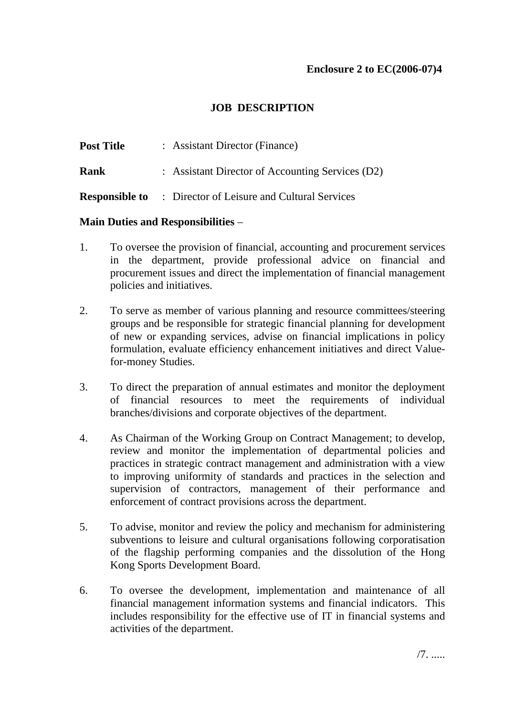## **JOB DESCRIPTION**

| <b>Post Title</b> | : Assistant Director (Finance)                                    |
|-------------------|-------------------------------------------------------------------|
| Rank              | : Assistant Director of Accounting Services (D2)                  |
|                   | <b>Responsible to</b> : Director of Leisure and Cultural Services |

#### **Main Duties and Responsibilities** –

- 1. To oversee the provision of financial, accounting and procurement services in the department, provide professional advice on financial and procurement issues and direct the implementation of financial management policies and initiatives.
- 2. To serve as member of various planning and resource committees/steering groups and be responsible for strategic financial planning for development of new or expanding services, advise on financial implications in policy formulation, evaluate efficiency enhancement initiatives and direct Valuefor-money Studies.
- 3. To direct the preparation of annual estimates and monitor the deployment of financial resources to meet the requirements of individual branches/divisions and corporate objectives of the department.
- 4. As Chairman of the Working Group on Contract Management; to develop, review and monitor the implementation of departmental policies and practices in strategic contract management and administration with a view to improving uniformity of standards and practices in the selection and supervision of contractors, management of their performance and enforcement of contract provisions across the department.
- 5. To advise, monitor and review the policy and mechanism for administering subventions to leisure and cultural organisations following corporatisation of the flagship performing companies and the dissolution of the Hong Kong Sports Development Board.
- 6. To oversee the development, implementation and maintenance of all financial management information systems and financial indicators. This includes responsibility for the effective use of IT in financial systems and activities of the department.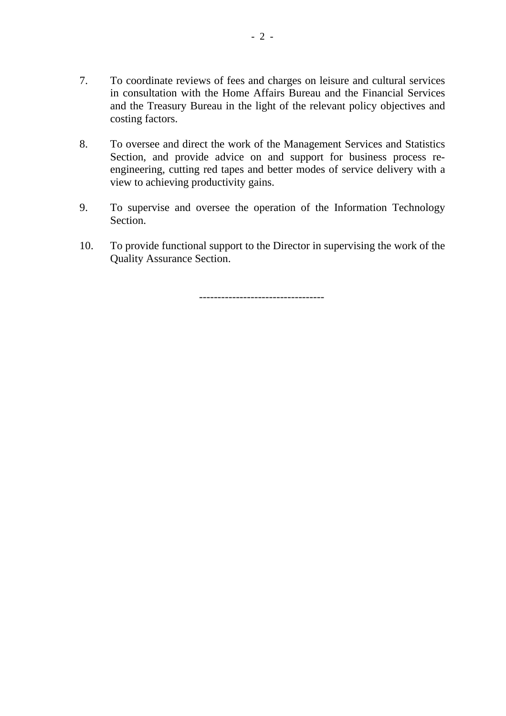- 7. To coordinate reviews of fees and charges on leisure and cultural services in consultation with the Home Affairs Bureau and the Financial Services and the Treasury Bureau in the light of the relevant policy objectives and costing factors.
- 8. To oversee and direct the work of the Management Services and Statistics Section, and provide advice on and support for business process reengineering, cutting red tapes and better modes of service delivery with a view to achieving productivity gains.
- 9. To supervise and oversee the operation of the Information Technology **Section**
- 10. To provide functional support to the Director in supervising the work of the Quality Assurance Section.

----------------------------------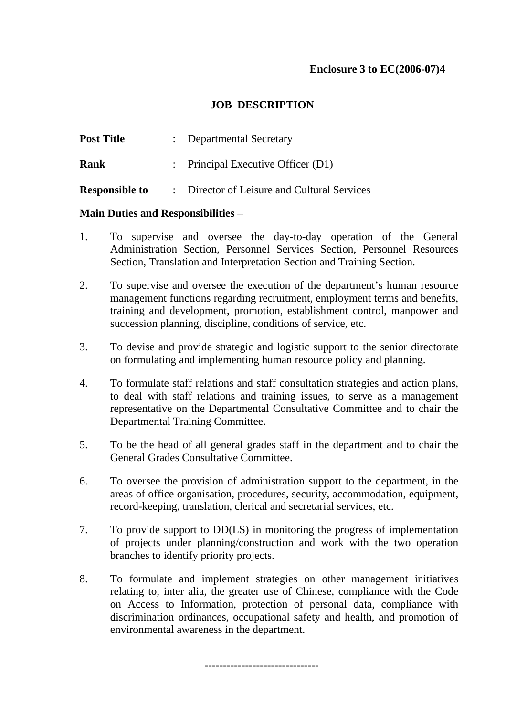#### **JOB DESCRIPTION**

| <b>Post Title</b>     | : Departmental Secretary                    |
|-----------------------|---------------------------------------------|
| Rank                  | : Principal Executive Officer $(D1)$        |
| <b>Responsible to</b> | : Director of Leisure and Cultural Services |

#### **Main Duties and Responsibilities** –

- 1. To supervise and oversee the day-to-day operation of the General Administration Section, Personnel Services Section, Personnel Resources Section, Translation and Interpretation Section and Training Section.
- 2. To supervise and oversee the execution of the department's human resource management functions regarding recruitment, employment terms and benefits, training and development, promotion, establishment control, manpower and succession planning, discipline, conditions of service, etc.
- 3. To devise and provide strategic and logistic support to the senior directorate on formulating and implementing human resource policy and planning.
- 4. To formulate staff relations and staff consultation strategies and action plans, to deal with staff relations and training issues, to serve as a management representative on the Departmental Consultative Committee and to chair the Departmental Training Committee.
- 5. To be the head of all general grades staff in the department and to chair the General Grades Consultative Committee.
- 6. To oversee the provision of administration support to the department, in the areas of office organisation, procedures, security, accommodation, equipment, record-keeping, translation, clerical and secretarial services, etc.
- 7. To provide support to DD(LS) in monitoring the progress of implementation of projects under planning/construction and work with the two operation branches to identify priority projects.
- 8. To formulate and implement strategies on other management initiatives relating to, inter alia, the greater use of Chinese, compliance with the Code on Access to Information, protection of personal data, compliance with discrimination ordinances, occupational safety and health, and promotion of environmental awareness in the department.

-------------------------------